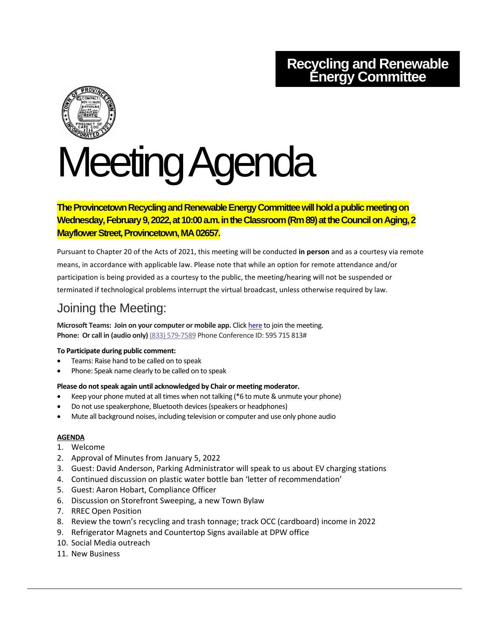## **Recycling and Renewable Energy Committee**



# Meeting Agenda

## **The Provincetown Recycling and Renewable Energy Committee will hold a public meeting on Wednesday, February 9, 2022, at 10:00 a.m. in the Classroom (Rm 89) at the Council on Aging, 2 Mayflower Street, Provincetown, MA 02657.**

Pursuant to Chapter 20 of the Acts of 2021, this meeting will be conducted **in person** and as a courtesy via remote means, in accordance with applicable law. Please note that while an option for remote attendance and/or participation is being provided as a courtesy to the public, the meeting/hearing will not be suspended or terminated if technological problems interrupt the virtual broadcast, unless otherwise required by law.

## Joining the Meeting:

**Microsoft Teams: Join on your computer or mobile app.** Click [here](https://teams.microsoft.com/l/meetup-join/19%3ameeting_Yzk0OWIwZGEtYTIxZi00YzcxLWI3YzctMTI0YzEwZWIxZjIx%40thread.v2/0?context=%7b%22Tid%22%3a%2230f187df-7305-4983-9525-e34ebdedad6e%22%2c%22Oid%22%3a%2278a7c3c6-3b77-467f-bdd3-164f25fa393a%22%7d) to join the meeting. **Phone: Or call in (audio only)** (833) 579-7589 Phone Conference ID: 595 715 813#

### **To Participate during public comment:**

- Teams: Raise hand to be called on to speak
- Phone: Speak name clearly to be called on to speak

### **Please do not speak again until acknowledged by Chair or meeting moderator.**

- Keep your phone muted at all times when not talking (\*6 to mute & unmute your phone)
- Do not use speakerphone, Bluetooth devices (speakers or headphones)
- Mute all background noises, including television or computer and use only phone audio

### **AGENDA**

- 1. Welcome
- 2. Approval of Minutes from January 5, 2022
- 3. Guest: David Anderson, Parking Administrator will speak to us about EV charging stations
- 4. Continued discussion on plastic water bottle ban 'letter of recommendation'
- 5. Guest: Aaron Hobart, Compliance Officer
- 6. Discussion on Storefront Sweeping, a new Town Bylaw
- 7. RREC Open Position
- 8. Review the town's recycling and trash tonnage; track OCC (cardboard) income in 2022
- 9. Refrigerator Magnets and Countertop Signs available at DPW office
- 10. Social Media outreach
- 11. New Business